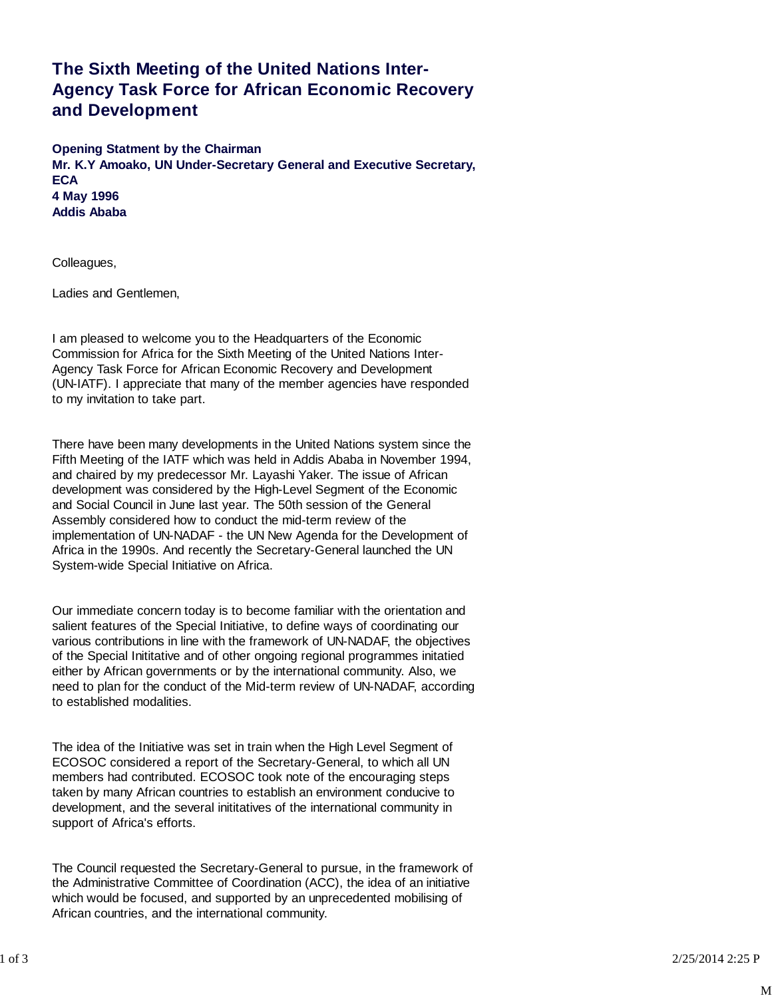## **The Sixth Meeting of the United Nations Inter-Agency Task Force for African Economic Recovery and Development**

**Opening Statment by the Chairman Mr. K.Y Amoako, UN Under-Secretary General and Executive Secretary, ECA 4 May 1996 Addis Ababa**

Colleagues,

Ladies and Gentlemen,

I am pleased to welcome you to the Headquarters of the Economic Commission for Africa for the Sixth Meeting of the United Nations Inter-Agency Task Force for African Economic Recovery and Development (UN-IATF). I appreciate that many of the member agencies have responded to my invitation to take part.

There have been many developments in the United Nations system since the Fifth Meeting of the IATF which was held in Addis Ababa in November 1994, and chaired by my predecessor Mr. Layashi Yaker. The issue of African development was considered by the High-Level Segment of the Economic and Social Council in June last year. The 50th session of the General Assembly considered how to conduct the mid-term review of the implementation of UN-NADAF - the UN New Agenda for the Development of Africa in the 1990s. And recently the Secretary-General launched the UN System-wide Special Initiative on Africa.

Our immediate concern today is to become familiar with the orientation and salient features of the Special Initiative, to define ways of coordinating our various contributions in line with the framework of UN-NADAF, the objectives of the Special Inititative and of other ongoing regional programmes initatied either by African governments or by the international community. Also, we need to plan for the conduct of the Mid-term review of UN-NADAF, according to established modalities.

The idea of the Initiative was set in train when the High Level Segment of ECOSOC considered a report of the Secretary-General, to which all UN members had contributed. ECOSOC took note of the encouraging steps taken by many African countries to establish an environment conducive to development, and the several inititatives of the international community in support of Africa's efforts.

The Council requested the Secretary-General to pursue, in the framework of the Administrative Committee of Coordination (ACC), the idea of an initiative which would be focused, and supported by an unprecedented mobilising of African countries, and the international community.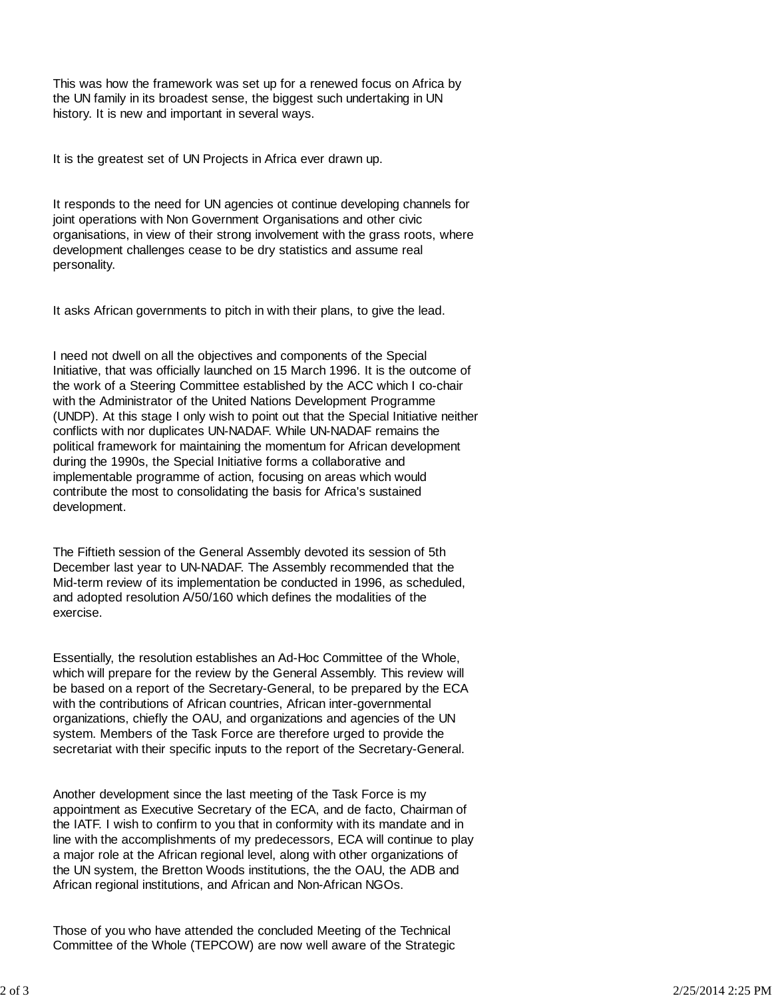This was how the framework was set up for a renewed focus on Africa by the UN family in its broadest sense, the biggest such undertaking in UN history. It is new and important in several ways.

It is the greatest set of UN Projects in Africa ever drawn up.

It responds to the need for UN agencies ot continue developing channels for joint operations with Non Government Organisations and other civic organisations, in view of their strong involvement with the grass roots, where development challenges cease to be dry statistics and assume real personality.

It asks African governments to pitch in with their plans, to give the lead.

I need not dwell on all the objectives and components of the Special Initiative, that was officially launched on 15 March 1996. It is the outcome of the work of a Steering Committee established by the ACC which I co-chair with the Administrator of the United Nations Development Programme (UNDP). At this stage I only wish to point out that the Special Initiative neither conflicts with nor duplicates UN-NADAF. While UN-NADAF remains the political framework for maintaining the momentum for African development during the 1990s, the Special Initiative forms a collaborative and implementable programme of action, focusing on areas which would contribute the most to consolidating the basis for Africa's sustained development.

The Fiftieth session of the General Assembly devoted its session of 5th December last year to UN-NADAF. The Assembly recommended that the Mid-term review of its implementation be conducted in 1996, as scheduled, and adopted resolution A/50/160 which defines the modalities of the exercise.

Essentially, the resolution establishes an Ad-Hoc Committee of the Whole, which will prepare for the review by the General Assembly. This review will be based on a report of the Secretary-General, to be prepared by the ECA with the contributions of African countries, African inter-governmental organizations, chiefly the OAU, and organizations and agencies of the UN system. Members of the Task Force are therefore urged to provide the secretariat with their specific inputs to the report of the Secretary-General.

Another development since the last meeting of the Task Force is my appointment as Executive Secretary of the ECA, and de facto, Chairman of the IATF. I wish to confirm to you that in conformity with its mandate and in line with the accomplishments of my predecessors, ECA will continue to play a major role at the African regional level, along with other organizations of the UN system, the Bretton Woods institutions, the the OAU, the ADB and African regional institutions, and African and Non-African NGOs.

Those of you who have attended the concluded Meeting of the Technical Committee of the Whole (TEPCOW) are now well aware of the Strategic